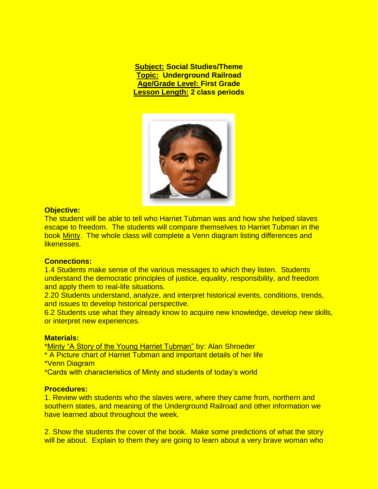**Subject: Social Studies/Theme Topic: Underground Railroad Age/Grade Level: First Grade Lesson Length: 2 class periods**



# **Objective:**

The student will be able to tell who Harriet Tubman was and how she helped slaves escape to freedom. The students will compare themselves to Harriet Tubman in the book Minty. The whole class will complete a Venn diagram listing differences and likenesses.

## **Connections:**

1.4 Students make sense of the various messages to which they listen. Students understand the democratic principles of justice, equality, responsibility, and freedom and apply them to real-life situations.

2.20 Students understand, analyze, and interpret historical events, conditions, trends, and issues to develop historical perspective.

6.2 Students use what they already know to acquire new knowledge, develop new skills, or interpret new experiences.

## **Materials:**

\*Minty "A Story of the Young Harriet Tubman" by: Alan Shroeder

- \* A Picture chart of Harriet Tubman and important details of her life
- \*Venn Diagram
- \*Cards with characteristics of Minty and students of today's world

## **Procedures:**

1. Review with students who the slaves were, where they came from, northern and southern states, and meaning of the Underground Railroad and other information we have learned about throughout the week.

2. Show the students the cover of the book. Make some predictions of what the story will be about. Explain to them they are going to learn about a very brave woman who